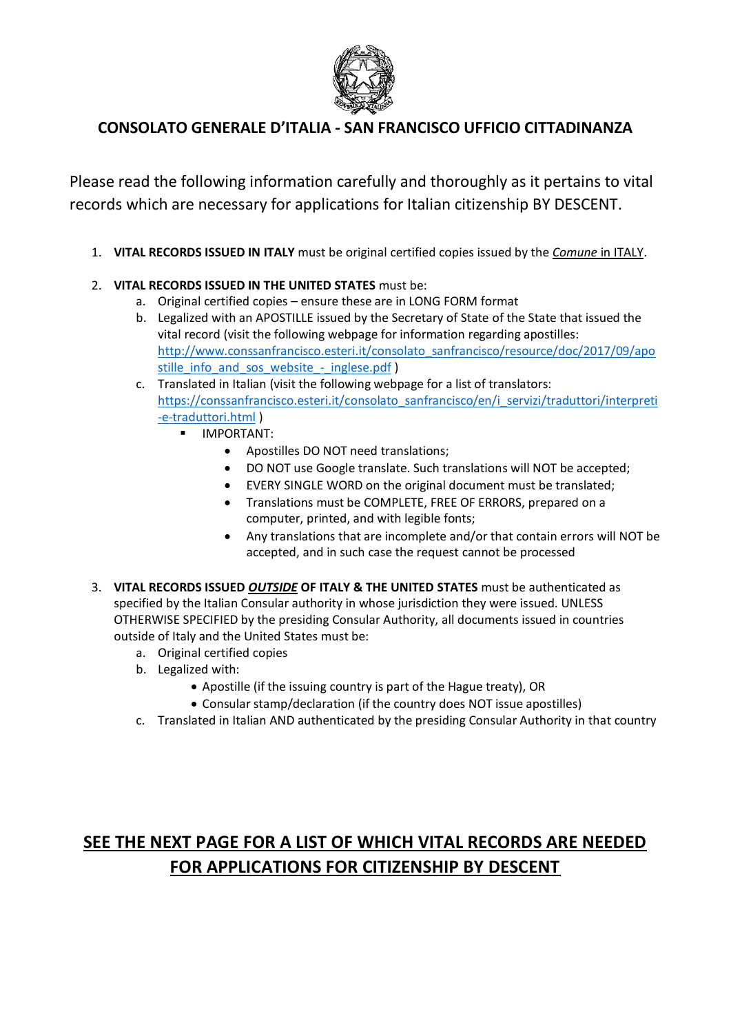

## **CONSOLATO GENERALE D'ITALIA - SAN FRANCISCO UFFICIO CITTADINANZA**

Please read the following information carefully and thoroughly as it pertains to vital records which are necessary for applications for Italian citizenship BY DESCENT.

1. **VITAL RECORDS ISSUED IN ITALY** must be original certified copies issued by the *Comune* in ITALY.

### 2. **VITAL RECORDS ISSUED IN THE UNITED STATES** must be:

- a. Original certified copies ensure these are in LONG FORM format
- b. Legalized with an APOSTILLE issued by the Secretary of State of the State that issued the vital record (visit the following webpage for information regarding apostilles: [http://www.conssanfrancisco.esteri.it/consolato\\_sanfrancisco/resource/doc/2017/09/apo](http://www.conssanfrancisco.esteri.it/consolato_sanfrancisco/resource/doc/2017/09/apostille_info_and_sos_website_-_inglese.pdf) stille info and sos website - inglese.pdf)
- c. Translated in Italian (visit the following webpage for a list of translators: [https://conssanfrancisco.esteri.it/consolato\\_sanfrancisco/en/i\\_servizi/traduttori/interpreti](https://conssanfrancisco.esteri.it/consolato_sanfrancisco/en/i_servizi/traduttori/interpreti-e-traduttori.html) [-e-traduttori.html](https://conssanfrancisco.esteri.it/consolato_sanfrancisco/en/i_servizi/traduttori/interpreti-e-traduttori.html) )
	- IMPORTANT:
		- Apostilles DO NOT need translations;
		- DO NOT use Google translate. Such translations will NOT be accepted;
		- EVERY SINGLE WORD on the original document must be translated;
		- Translations must be COMPLETE, FREE OF ERRORS, prepared on a computer, printed, and with legible fonts;
		- Any translations that are incomplete and/or that contain errors will NOT be accepted, and in such case the request cannot be processed
- 3. **VITAL RECORDS ISSUED** *OUTSIDE* **OF ITALY & THE UNITED STATES** must be authenticated as specified by the Italian Consular authority in whose jurisdiction they were issued. UNLESS OTHERWISE SPECIFIED by the presiding Consular Authority, all documents issued in countries outside of Italy and the United States must be:
	- a. Original certified copies
	- b. Legalized with:
		- Apostille (if the issuing country is part of the Hague treaty), OR
		- Consular stamp/declaration (if the country does NOT issue apostilles)
	- c. Translated in Italian AND authenticated by the presiding Consular Authority in that country

# **SEE THE NEXT PAGE FOR A LIST OF WHICH VITAL RECORDS ARE NEEDED FOR APPLICATIONS FOR CITIZENSHIP BY DESCENT**